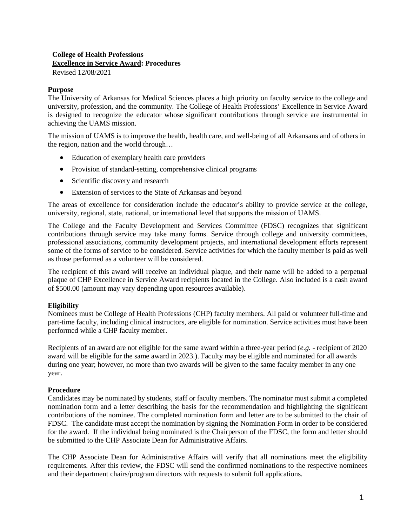# **College of Health Professions Excellence in Service Award: Procedures**

Revised 12/08/2021

#### **Purpose**

The University of Arkansas for Medical Sciences places a high priority on faculty service to the college and university, profession, and the community. The College of Health Professions' Excellence in Service Award is designed to recognize the educator whose significant contributions through service are instrumental in achieving the UAMS mission.

The mission of UAMS is to improve the health, health care, and well-being of all Arkansans and of others in the region, nation and the world through…

- Education of exemplary health care providers
- Provision of standard-setting, comprehensive clinical programs
- Scientific discovery and research
- Extension of services to the State of Arkansas and beyond

The areas of excellence for consideration include the educator's ability to provide service at the college, university, regional, state, national, or international level that supports the mission of UAMS.

The College and the Faculty Development and Services Committee (FDSC) recognizes that significant contributions through service may take many forms. Service through college and university committees, professional associations, community development projects, and international development efforts represent some of the forms of service to be considered. Service activities for which the faculty member is paid as well as those performed as a volunteer will be considered.

The recipient of this award will receive an individual plaque, and their name will be added to a perpetual plaque of CHP Excellence in Service Award recipients located in the College. Also included is a cash award of \$500.00 (amount may vary depending upon resources available).

### **Eligibility**

Nominees must be College of Health Professions (CHP) faculty members. All paid or volunteer full-time and part-time faculty, including clinical instructors, are eligible for nomination. Service activities must have been performed while a CHP faculty member.

Recipients of an award are not eligible for the same award within a three-year period (*e.g.* - recipient of 2020 award will be eligible for the same award in 2023.). Faculty may be eligible and nominated for all awards during one year; however, no more than two awards will be given to the same faculty member in any one year.

#### **Procedure**

Candidates may be nominated by students, staff or faculty members. The nominator must submit a completed nomination form and a letter describing the basis for the recommendation and highlighting the significant contributions of the nominee. The completed nomination form and letter are to be submitted to the chair of FDSC. The candidate must accept the nomination by signing the Nomination Form in order to be considered for the award. If the individual being nominated is the Chairperson of the FDSC, the form and letter should be submitted to the CHP Associate Dean for Administrative Affairs.

The CHP Associate Dean for Administrative Affairs will verify that all nominations meet the eligibility requirements. After this review, the FDSC will send the confirmed nominations to the respective nominees and their department chairs/program directors with requests to submit full applications.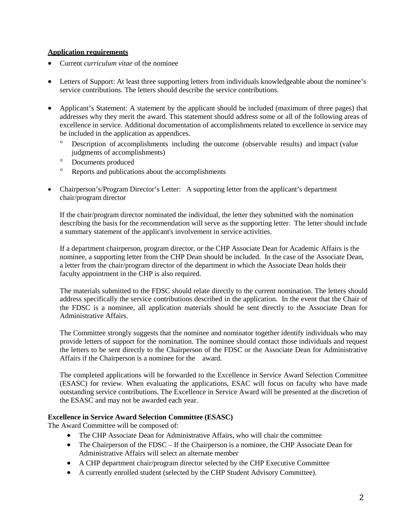#### **Application requirements**

- Current *curriculum vitae* of the nominee
- Letters of Support: At least three supporting letters from individuals knowledgeable about the nominee's service contributions. The letters should describe the service contributions.
- Applicant's Statement: A statement by the applicant should be included (maximum of three pages) that addresses why they merit the award. This statement should address some or all of the following areas of excellence in service. Additional documentation of accomplishments related to excellence in service may be included in the application as appendices.
	- ° Description of accomplishments including the outcome (observable results) and impact (value judgments of accomplishments)
	- ° Documents produced
	- ° Reports and publications about the accomplishments
- Chairperson's/Program Director's Letter: A supporting letter from the applicant's department chair/program director

If the chair/program director nominated the individual, the letter they submitted with the nomination describing the basis for the recommendation will serve as the supporting letter. The letter should include a summary statement of the applicant's involvement in service activities.

If a department chairperson, program director, or the CHP Associate Dean for Academic Affairs is the nominee, a supporting letter from the CHP Dean should be included. In the case of the Associate Dean, a letter from the chair/program director of the department in which the Associate Dean holds their faculty appointment in the CHP is also required.

The materials submitted to the FDSC should relate directly to the current nomination. The letters should address specifically the service contributions described in the application. In the event that the Chair of the FDSC is a nominee, all application materials should be sent directly to the Associate Dean for Administrative Affairs.

The Committee strongly suggests that the nominee and nominator together identify individuals who may provide letters of support for the nomination. The nominee should contact those individuals and request the letters to be sent directly to the Chairperson of the FDSC or the Associate Dean for Administrative Affairs if the Chairperson is a nominee for the award.

The completed applications will be forwarded to the Excellence in Service Award Selection Committee (ESASC) for review. When evaluating the applications, ESAC will focus on faculty who have made outstanding service contributions. The Excellence in Service Award will be presented at the discretion of the ESASC and may not be awarded each year.

#### **Excellence in Service Award Selection Committee (ESASC)**

The Award Committee will be composed of:

- The CHP Associate Dean for Administrative Affairs, who will chair the committee
- The Chairperson of the FDSC If the Chairperson is a nominee, the CHP Associate Dean for Administrative Affairs will select an alternate member
- A CHP department chair/program director selected by the CHP Executive Committee
- A currently enrolled student (selected by the CHP Student Advisory Committee).